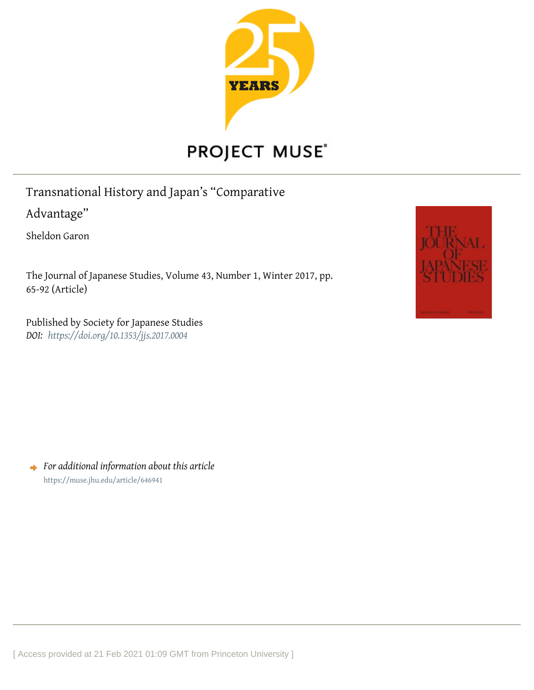

# **PROJECT MUSE®**

Transnational History and Japan's "Comparative

Advantage"

Sheldon Garon

The Journal of Japanese Studies, Volume 43, Number 1, Winter 2017, pp. 65-92 (Article)

Published by Society for Japanese Studies *DOI: <https://doi.org/10.1353/jjs.2017.0004>*



*For additional information about this article* <https://muse.jhu.edu/article/646941>

[ Access provided at 21 Feb 2021 01:09 GMT from Princeton University ]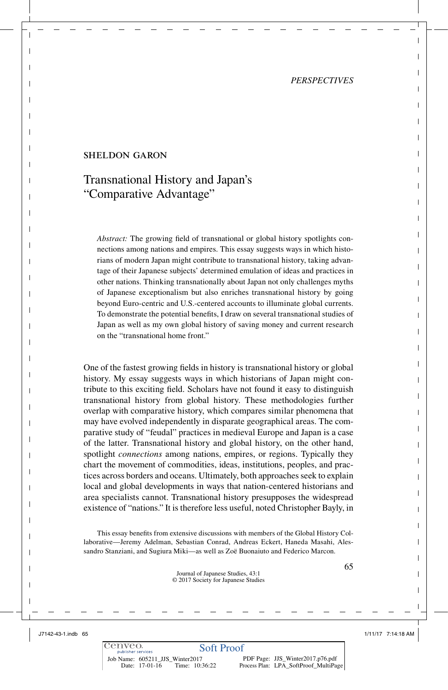### sheldon garon

## Transnational History and Japan's "Comparative Advantage"

*Abstract:* The growing field of transnational or global history spotlights connections among nations and empires. This essay suggests ways in which historians of modern Japan might contribute to transnational history, taking advantage of their Japanese subjects' determined emulation of ideas and practices in other nations. Thinking transnationally about Japan not only challenges myths of Japanese exceptionalism but also enriches transnational history by going beyond Euro-centric and U.S.-centered accounts to illuminate global currents. To demonstrate the potential benefits, I draw on several transnational studies of Japan as well as my own global history of saving money and current research on the "transnational home front."

One of the fastest growing fields in history is transnational history or global history. My essay suggests ways in which historians of Japan might contribute to this exciting field. Scholars have not found it easy to distinguish transnational history from global history. These methodologies further overlap with comparative history, which compares similar phenomena that may have evolved independently in disparate geographical areas. The comparative study of "feudal" practices in medieval Europe and Japan is a case of the latter. Transnational history and global history, on the other hand, spotlight *connections* among nations, empires, or regions. Typically they chart the movement of commodities, ideas, institutions, peoples, and practices across borders and oceans. Ultimately, both approaches seek to explain local and global developments in ways that nation-centered historians and area specialists cannot. Transnational history presupposes the widespread existence of "nations." It is therefore less useful, noted Christopher Bayly, in

This essay benefits from extensive discussions with members of the Global History Collaborative — Jeremy Adelman, Sebastian Conrad, Andreas Eckert, Haneda Masahi, Alessandro Stanziani, and Sugiura Miki—as well as Zoë Buonaiuto and Federico Marcon.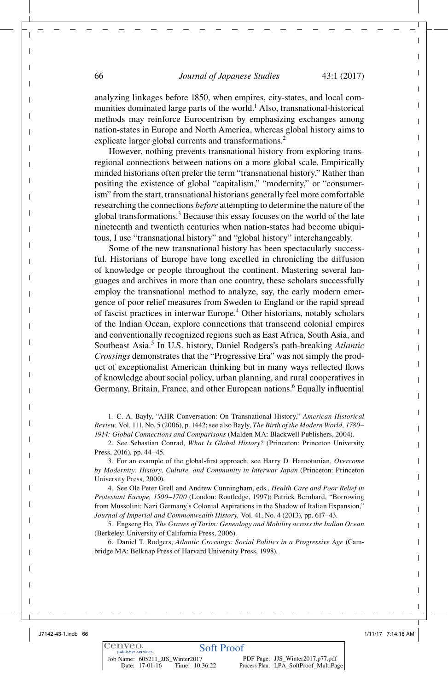analyzing linkages before 1850, when empires, city-states, and local communities dominated large parts of the world.<sup>1</sup> Also, transnational-historical methods may reinforce Eurocentrism by emphasizing exchanges among nation-states in Europe and North America, whereas global history aims to explicate larger global currents and transformations.<sup>2</sup>

However, nothing prevents transnational history from exploring transregional connections between nations on a more global scale. Empirically minded historians often prefer the term "transnational history." Rather than positing the existence of global "capitalism," "modernity," or "consumerism" from the start, transnational historians generally feel more comfortable researching the connections *before* attempting to determine the nature of the global transformations.<sup>3</sup> Because this essay focuses on the world of the late nineteenth and twentieth centuries when nation-states had become ubiquitous, I use "transnational history" and "global history" interchangeably.

Some of the new transnational history has been spectacularly successful. Historians of Europe have long excelled in chronicling the diffusion of knowledge or people throughout the continent. Mastering several languages and archives in more than one country, these scholars successfully employ the transnational method to analyze, say, the early modern emergence of poor relief measures from Sweden to England or the rapid spread of fascist practices in interwar Europe.<sup>4</sup> Other historians, notably scholars of the Indian Ocean, explore connections that transcend colonial empires and conventionally recognized regions such as East Africa, South Asia, and Southeast Asia.<sup>5</sup> In U.S. history, Daniel Rodgers's path-breaking Atlantic *Crossings* demonstrates that the "Progressive Era" was not simply the product of exceptionalist American thinking but in many ways reflected flows of knowledge about social policy, urban planning, and rural cooperatives in Germany, Britain, France, and other European nations.<sup>6</sup> Equally influential

1. C. A. Bayly, "AHR Conversation: On Transnational History," *American Historical Review,* Vol. 111, No. 5 (2006), p. 1442; see also Bayly, *The Birth of the Modern World, 1780– 1914: Global Connections and Comparisons* (Malden MA: Blackwell Publishers, 2004).

2. See Sebastian Conrad, *What Is Global History?* (Princeton: Princeton University Press, 2016), pp. 44–45.

3. For an example of the global-first approach, see Harry D. Harootunian, Overcome *by Modernity: History, Culture, and Community in Interwar Japan* (Princeton: Princeton University Press, 2000).

4. See Ole Peter Grell and Andrew Cunningham, eds., *Health Care and Poor Relief in Protestant Europe, 1500–1700* (London: Routledge, 1997); Patrick Bernhard, "Borrowing from Mussolini: Nazi Germany's Colonial Aspirations in the Shadow of Italian Expansion," *Journal of Imperial and Commonwealth History,* Vol. 41, No. 4 (2013), pp. 617–43.

5. Engseng Ho, *The Graves of Tarim: Genealogy and Mobility across the Indian Ocean* (Berkeley: University of California Press, 2006).

6. Daniel T. Rodgers, *Atlantic Crossings: Social Politics in a Progressive Age* (Cambridge MA: Belknap Press of Harvard University Press, 1998).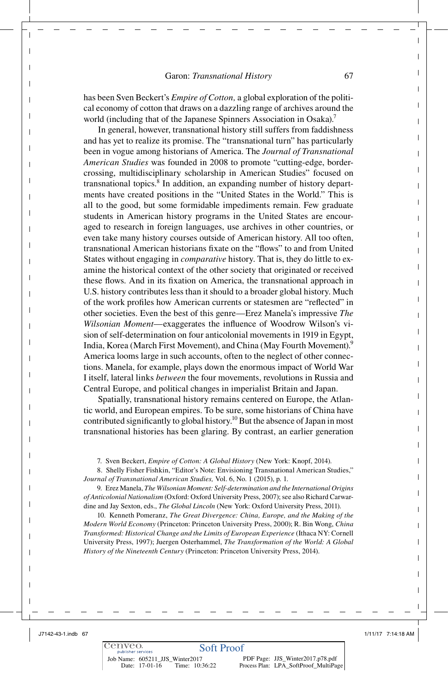has been Sven Beckert's *Empire of Cotton,* a global exploration of the political economy of cotton that draws on a dazzling range of archives around the world (including that of the Japanese Spinners Association in Osaka).<sup>7</sup>

In general, however, transnational history still suffers from faddishness and has yet to realize its promise. The "transnational turn" has particularly been in vogue among historians of America. The *Journal of Transnational American Studies* was founded in 2008 to promote "cutting-edge, bordercrossing, multidisciplinary scholarship in American Studies" focused on transnational topics.<sup>8</sup> In addition, an expanding number of history departments have created positions in the "United States in the World." This is all to the good, but some formidable impediments remain. Few graduate students in American history programs in the United States are encouraged to research in foreign languages, use archives in other countries, or even take many history courses outside of American history. All too often, transnational American historians fixate on the "flows" to and from United States without engaging in *comparative* history. That is, they do little to examine the historical context of the other society that originated or received these flows. And in its fixation on America, the transnational approach in U.S. history contributes less than it should to a broader global history. Much of the work profiles how American currents or statesmen are "reflected" in other societies. Even the best of this genre—Erez Manela's impressive *The Wilsonian Moment*—exaggerates the influence of Woodrow Wilson's vision of self-determination on four anticolonial movements in 1919 in Egypt, India, Korea (March First Movement), and China (May Fourth Movement).9 America looms large in such accounts, often to the neglect of other connections. Manela, for example, plays down the enormous impact of World War I itself, lateral links *between* the four movements, revolutions in Russia and Central Europe, and political changes in imperialist Britain and Japan.

Spatially, transnational history remains centered on Europe, the Atlantic world, and European empires. To be sure, some historians of China have contributed significantly to global history.<sup>10</sup> But the absence of Japan in most transnational histories has been glaring. By contrast, an earlier generation

7. Sven Beckert, *Empire of Cotton: A Global History* (New York: Knopf, 2014).

8. Shelly Fisher Fishkin, "Editor's Note: Envisioning Transnational American Studies," *Journal of Transnational American Studies,* Vol. 6, No. 1 (2015), p. 1.

9. Erez Manela, *The Wilsonian Moment: Self-determination and the International Origins of Anticolonial Nationalism* (Oxford: Oxford University Press, 2007); see also Richard Carwardine and Jay Sexton, eds., *The Global Lincoln* (New York: Oxford University Press, 2011).

10. Kenneth Pomeranz, *The Great Divergence: China, Europe, and the Making of the Modern World Economy* (Princeton: Princeton University Press, 2000); R. Bin Wong, *China Transformed: Historical Change and the Limits of European Experience* (Ithaca NY: Cornell University Press, 1997); Juergen Osterhammel, *The Transformation of the World: A Global History of the Nineteenth Century* (Princeton: Princeton University Press, 2014).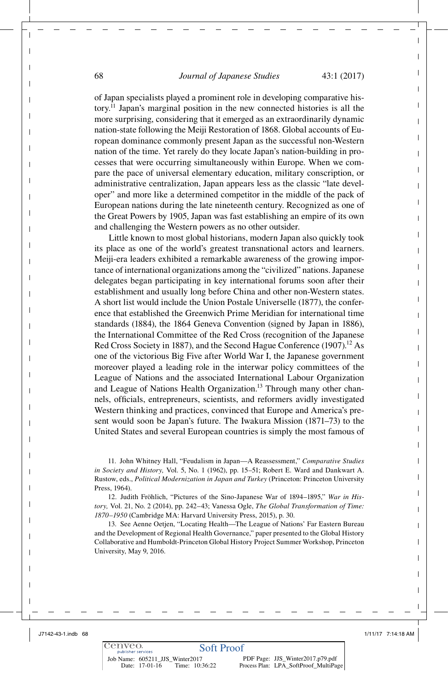of Japan specialists played a prominent role in developing comparative history.11 Japan's marginal position in the new connected histories is all the more surprising, considering that it emerged as an extraordinarily dynamic nation-state following the Meiji Restoration of 1868. Global accounts of European dominance commonly present Japan as the successful non- Western nation of the time. Yet rarely do they locate Japan's nation-building in processes that were occurring simultaneously within Europe. When we compare the pace of universal elementary education, military conscription, or administrative centralization, Japan appears less as the classic "late developer" and more like a determined competitor in the middle of the pack of European nations during the late nineteenth century. Recognized as one of the Great Powers by 1905, Japan was fast establishing an empire of its own and challenging the Western powers as no other outsider.

Little known to most global historians, modern Japan also quickly took its place as one of the world's greatest transnational actors and learners. Meiji-era leaders exhibited a remarkable awareness of the growing importance of international organizations among the "civilized" nations. Japanese delegates began participating in key international forums soon after their establishment and usually long before China and other non-Western states. A short list would include the Union Postale Universelle (1877), the conference that established the Greenwich Prime Meridian for international time standards (1884), the 1864 Geneva Convention (signed by Japan in 1886), the International Committee of the Red Cross (recognition of the Japanese Red Cross Society in 1887), and the Second Hague Conference (1907).<sup>12</sup> As one of the victorious Big Five after World War I, the Japanese government moreover played a leading role in the interwar policy committees of the League of Nations and the associated International Labour Organization and League of Nations Health Organization.<sup>13</sup> Through many other channels, officials, entrepreneurs, scientists, and reformers avidly investigated Western thinking and practices, convinced that Europe and America's present would soon be Japan's future. The Iwakura Mission (1871–73) to the United States and several European countries is simply the most famous of

11. John Whitney Hall, "Feudalism in Japan—A Reassessment," *Comparative Studies in Society and History,* Vol. 5, No. 1 (1962), pp. 15–51; Robert E. Ward and Dankwart A. Rustow, eds., *Political Modernization in Japan and Turkey* (Princeton: Princeton University Press, 1964).

12. Judith Fröhlich, "Pictures of the Sino-Japanese War of 1894–1895," *War in History,* Vol. 21, No. 2 (2014), pp. 242–43; Vanessa Ogle, *The Global Transformation of Time: 1870–1950* (Cambridge MA: Harvard University Press, 2015), p. 30.

13. See Aenne Oetjen, "Locating Health—The League of Nations' Far Eastern Bureau and the Development of Regional Health Governance," paper presented to the Global History Collaborative and Humboldt-Princeton Global History Project Summer Workshop, Princeton University, May 9, 2016.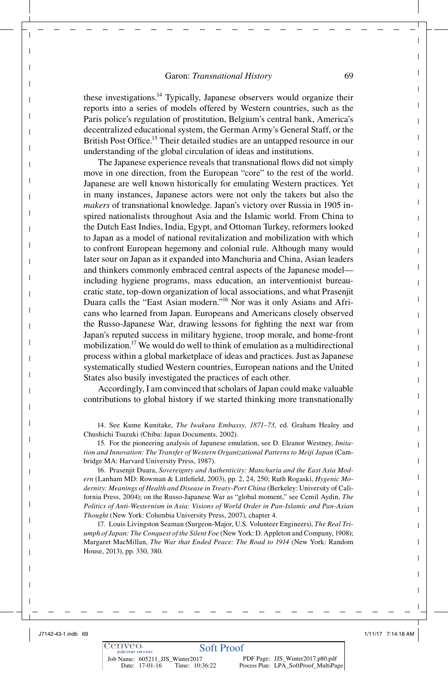these investigations.14 Typically, Japanese observers would organize their reports into a series of models offered by Western countries, such as the Paris police's regulation of prostitution, Belgium's central bank, America's decentralized educational system, the German Army's General Staff, or the British Post Office.<sup>15</sup> Their detailed studies are an untapped resource in our understanding of the global circulation of ideas and institutions.

The Japanese experience reveals that transnational flows did not simply move in one direction, from the European "core" to the rest of the world. Japanese are well known historically for emulating Western practices. Yet in many instances, Japanese actors were not only the takers but also the *makers* of transnational knowledge. Japan's victory over Russia in 1905 inspired nationalists throughout Asia and the Islamic world. From China to the Dutch East Indies, India, Egypt, and Ottoman Turkey, reformers looked to Japan as a model of national revitalization and mobilization with which to confront European hegemony and colonial rule. Although many would later sour on Japan as it expanded into Manchuria and China, Asian leaders and thinkers commonly embraced central aspects of the Japanese model including hygiene programs, mass education, an interventionist bureaucratic state, top-down organization of local associations, and what Prasenjit Duara calls the "East Asian modern."16 Nor was it only Asians and Africans who learned from Japan. Europeans and Americans closely observed the Russo-Japanese War, drawing lessons for fighting the next war from Japan's reputed success in military hygiene, troop morale, and home-front mobilization.17 We would do well to think of emulation as a multidirectional process within a global marketplace of ideas and practices. Just as Japanese systematically studied Western countries, European nations and the United States also busily investigated the practices of each other.

Accordingly, I am convinced that scholars of Japan could make valuable contributions to global history if we started thinking more transnationally

14. See Kume Kunitake, *The Iwakura Embassy, 1871–73,* ed. Graham Healey and Chushichi Tsuzuki (Chiba: Japan Documents, 2002).

15. For the pioneering analysis of Japanese emulation, see D. Eleanor Westney, *Imitation and Innovation: The Transfer of Western Organizational Patterns to Meiji Japan* (Cambridge MA: Harvard University Press, 1987).

16. Prasenjit Duara, *Sovereignty and Authenticity: Manchuria and the East Asia Mod*ern (Lanham MD: Rowman & Littlefield, 2003), pp. 2, 24, 250; Ruth Rogaski, *Hygenic Modernity: Meanings of Health and Disease in Treaty-Port China* (Berkeley: University of California Press, 2004); on the Russo-Japanese War as "global moment," see Cemil Aydin, *The Politics of Anti-Westernism in Asia: Visions of World Order in Pan-Islamic and Pan-Asian Thought* (New York: Columbia University Press, 2007), chapter 4.

17. Louis Livingston Seaman (Surgeon-Major, U.S. Volunteer Engineers), *The Real Triumph of Japan: The Conquest of the Silent Foe* (New York: D. Appleton and Company, 1908); Margaret MacMillan, *The War that Ended Peace: The Road to 1914* (New York: Random House, 2013), pp. 330, 380.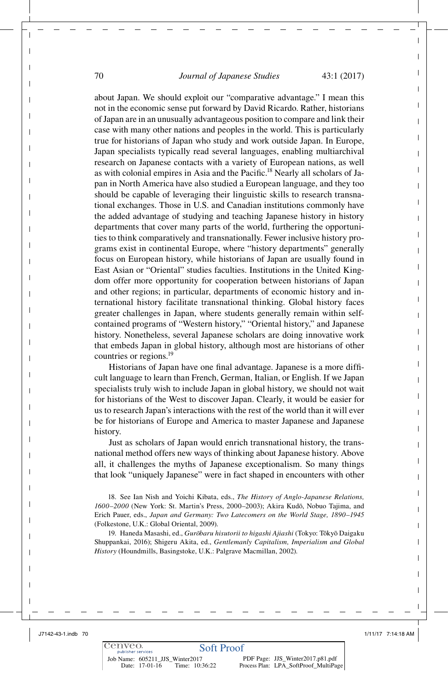about Japan. We should exploit our "comparative advantage." I mean this not in the economic sense put forward by David Ricardo. Rather, historians of Japan are in an unusually advantageous position to compare and link their case with many other nations and peoples in the world. This is particularly true for historians of Japan who study and work outside Japan. In Europe, Japan specialists typically read several languages, enabling multiarchival research on Japanese contacts with a variety of European nations, as well as with colonial empires in Asia and the Pacific.<sup>18</sup> Nearly all scholars of Japan in North America have also studied a European language, and they too should be capable of leveraging their linguistic skills to research transnational exchanges. Those in U.S. and Canadian institutions commonly have the added advantage of studying and teaching Japanese history in history departments that cover many parts of the world, furthering the opportunities to think comparatively and transnationally. Fewer inclusive history programs exist in continental Europe, where "history departments" generally focus on European history, while historians of Japan are usually found in East Asian or "Oriental" studies faculties. Institutions in the United Kingdom offer more opportunity for cooperation between historians of Japan and other regions; in particular, departments of economic history and international history facilitate transnational thinking. Global history faces greater challenges in Japan, where students generally remain within selfcontained programs of "Western history," "Oriental history," and Japanese history. Nonetheless, several Japanese scholars are doing innovative work that embeds Japan in global history, although most are historians of other countries or regions.19

Historians of Japan have one final advantage. Japanese is a more difficult language to learn than French, German, Italian, or English. If we Japan specialists truly wish to include Japan in global history, we should not wait for historians of the West to discover Japan. Clearly, it would be easier for us to research Japan's interactions with the rest of the world than it will ever be for historians of Europe and America to master Japanese and Japanese history.

Just as scholars of Japan would enrich transnational history, the transnational method offers new ways of thinking about Japanese history. Above all, it challenges the myths of Japanese exceptionalism. So many things that look "uniquely Japanese" were in fact shaped in encounters with other

18. See Ian Nish and Yoichi Kibata, eds., *The History of Anglo-Japanese Relations, 1600–2000* (New York: St. Martin's Press, 2000–2003); Akira Kudō, Nobuo Tajima, and Erich Pauer, eds., *Japan and Germany: Two Latecomers on the World Stage, 1890–1945* (Folkestone, U.K.: Global Oriental, 2009).

19. Haneda Masashi, ed., *Gurōbaru hisutorii to higashi Ajiashi* (Tokyo: Tōkyō Daigaku Shuppankai, 2016); Shigeru Akita, ed., *Gentlemanly Capitalism, Imperialism and Global History* (Houndmills, Basingstoke, U.K.: Palgrave Macmillan, 2002).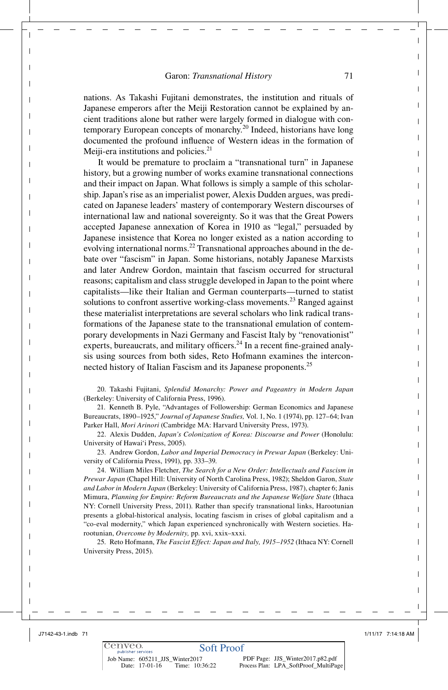nations. As Takashi Fujitani demonstrates, the institution and rituals of Japanese emperors after the Meiji Restoration cannot be explained by ancient traditions alone but rather were largely formed in dialogue with contemporary European concepts of monarchy.20 Indeed, historians have long documented the profound influence of Western ideas in the formation of Meiji-era institutions and policies.<sup>21</sup>

It would be premature to proclaim a "transnational turn" in Japanese history, but a growing number of works examine transnational connections and their impact on Japan. What follows is simply a sample of this scholarship. Japan's rise as an imperialist power, Alexis Dudden argues, was predicated on Japanese leaders' mastery of contemporary Western discourses of international law and national sovereignty. So it was that the Great Powers accepted Japanese annexation of Korea in 1910 as "legal," persuaded by Japanese insistence that Korea no longer existed as a nation according to evolving international norms.<sup>22</sup> Transnational approaches abound in the debate over "fascism" in Japan. Some historians, notably Japanese Marxists and later Andrew Gordon, maintain that fascism occurred for structural reasons; capitalism and class struggle developed in Japan to the point where capitalists—like their Italian and German counterparts—turned to statist solutions to confront assertive working-class movements.<sup>23</sup> Ranged against these materialist interpretations are several scholars who link radical transformations of the Japanese state to the transnational emulation of contemporary developments in Nazi Germany and Fascist Italy by "renovationist" experts, bureaucrats, and military officers.<sup>24</sup> In a recent fine-grained analysis using sources from both sides, Reto Hofmann examines the interconnected history of Italian Fascism and its Japanese proponents.<sup>25</sup>

20. Takashi Fujitani, *Splendid Monarchy: Power and Pageantry in Modern Japan* (Berkeley: University of California Press, 1996).

21. Kenneth B. Pyle, "Advantages of Followership: German Economics and Japanese Bureaucrats, 1890–1925," *Journal of Japanese Studies,* Vol. 1, No. 1 (1974), pp. 127–64; Ivan Parker Hall, *Mori Arinori* (Cambridge MA: Harvard University Press, 1973).

22. Alexis Dudden, *Japan's Colonization of Korea: Discourse and Power* (Honolulu: University of Hawai'i Press, 2005).

23. Andrew Gordon, *Labor and Imperial Democracy in Prewar Japan* (Berkeley: University of California Press, 1991), pp. 333–39.

24. William Miles Fletcher, *The Search for a New Order: Intellectuals and Fascism in Prewar Japan* (Chapel Hill: University of North Carolina Press, 1982); Sheldon Garon, *State and Labor in Modern Japan* (Berkeley: University of California Press, 1987), chapter 6; Janis Mimura, *Planning for Empire: Reform Bureaucrats and the Japanese Welfare State* (Ithaca NY: Cornell University Press, 2011). Rather than specify transnational links, Harootunian presents a global-historical analysis, locating fascism in crises of global capitalism and a "co-eval modernity," which Japan experienced synchronically with Western societies. Harootunian, *Overcome by Modernity,* pp. xvi, xxix–xxxi.

25. Reto Hofmann, *The Fascist Effect: Japan and Italy, 1915–1952* (Ithaca NY: Cornell University Press, 2015).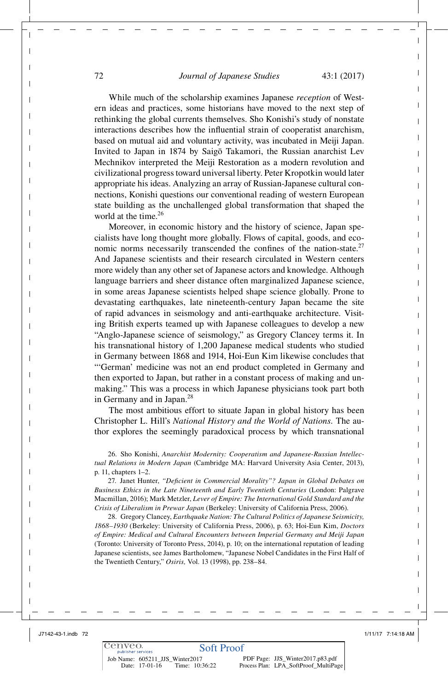While much of the scholarship examines Japanese *reception* of Western ideas and practices, some historians have moved to the next step of rethinking the global currents themselves. Sho Konishi's study of nonstate interactions describes how the influential strain of cooperatist anarchism, based on mutual aid and voluntary activity, was incubated in Meiji Japan. Invited to Japan in 1874 by Saigō Takamori, the Russian anarchist Lev Mechnikov interpreted the Meiji Restoration as a modern revolution and civilizational progress toward universal liberty. Peter Kropotkin would later appropriate his ideas. Analyzing an array of Russian-Japanese cultural connections, Konishi questions our conventional reading of western European state building as the unchallenged global transformation that shaped the world at the time.<sup>26</sup>

Moreover, in economic history and the history of science, Japan specialists have long thought more globally. Flows of capital, goods, and economic norms necessarily transcended the confines of the nation-state. $27$ And Japanese scientists and their research circulated in Western centers more widely than any other set of Japanese actors and knowledge. Although language barriers and sheer distance often marginalized Japanese science, in some areas Japanese scientists helped shape science globally. Prone to devastating earthquakes, late nineteenth-century Japan became the site of rapid advances in seismology and anti-earthquake architecture. Visiting British experts teamed up with Japanese colleagues to develop a new "Anglo-Japanese science of seismology," as Gregory Clancey terms it. In his transnational history of 1,200 Japanese medical students who studied in Germany between 1868 and 1914, Hoi-Eun Kim likewise concludes that "'German' medicine was not an end product completed in Germany and then exported to Japan, but rather in a constant process of making and unmaking." This was a process in which Japanese physicians took part both in Germany and in Japan.<sup>28</sup>

The most ambitious effort to situate Japan in global history has been Christopher L. Hill's *National History and the World of Nations.* The author explores the seemingly paradoxical process by which transnational

26. Sho Konishi, *Anarchist Modernity: Cooperatism and Japanese-Russian Intellectual Relations in Modern Japan* (Cambridge MA: Harvard University Asia Center, 2013), p. 11, chapters 1–2.

27. Janet Hunter, "Deficient in Commercial Morality"? Japan in Global Debates on *Business Ethics in the Late Nineteenth and Early Twentieth Centuries* (London: Palgrave Macmillan, 2016); Mark Metzler, *Lever of Empire: The International Gold Standard and the Crisis of Liberalism in Prewar Japan* (Berkeley: University of California Press, 2006).

28. Gregory Clancey, *Earthquake Nation: The Cultural Politics of Japanese Seismicity, 1868–1930* (Berkeley: University of California Press, 2006), p. 63; Hoi-Eun Kim, *Doctors of Empire: Medical and Cultural Encounters between Imperial Germany and Meiji Japan* (Toronto: University of Toronto Press, 2014), p. 10; on the international reputation of leading Japanese scientists, see James Bartholomew, "Japanese Nobel Candidates in the First Half of the Twentieth Century," *Osiris,* Vol. 13 (1998), pp. 238–84.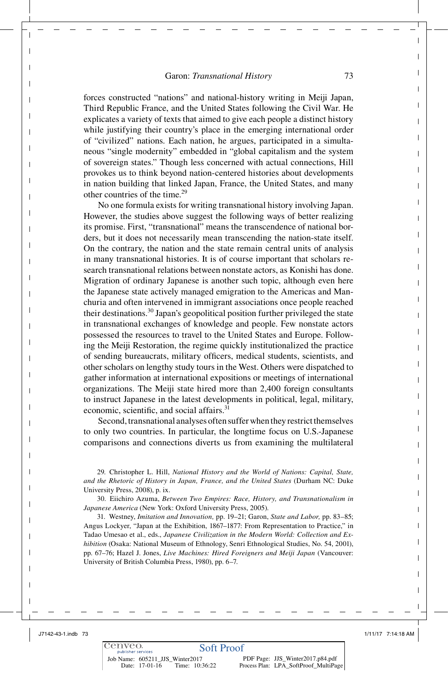forces constructed "nations" and national-history writing in Meiji Japan, Third Republic France, and the United States following the Civil War. He explicates a variety of texts that aimed to give each people a distinct history while justifying their country's place in the emerging international order of "civilized" nations. Each nation, he argues, participated in a simultaneous "single modernity" embedded in "global capitalism and the system of sovereign states." Though less concerned with actual connections, Hill provokes us to think beyond nation-centered histories about developments in nation building that linked Japan, France, the United States, and many other countries of the time.29

No one formula exists for writing transnational history involving Japan. However, the studies above suggest the following ways of better realizing its promise. First, "transnational" means the transcendence of national borders, but it does not necessarily mean transcending the nation-state itself. On the contrary, the nation and the state remain central units of analysis in many transnational histories. It is of course important that scholars research transnational relations between nonstate actors, as Konishi has done. Migration of ordinary Japanese is another such topic, although even here the Japanese state actively managed emigration to the Americas and Manchuria and often intervened in immigrant associations once people reached their destinations.30 Japan's geopolitical position further privileged the state in transnational exchanges of knowledge and people. Few nonstate actors possessed the resources to travel to the United States and Europe. Following the Meiji Restoration, the regime quickly institutionalized the practice of sending bureaucrats, military officers, medical students, scientists, and other scholars on lengthy study tours in the West. Others were dispatched to gather information at international expositions or meetings of international organizations. The Meiji state hired more than 2,400 foreign consultants to instruct Japanese in the latest developments in political, legal, military, economic, scientific, and social affairs.<sup>31</sup>

Second, transnational analyses often suffer when they restrict themselves to only two countries. In particular, the longtime focus on U.S.- Japanese comparisons and connections diverts us from examining the multilateral

29. Christopher L. Hill, *National History and the World of Nations: Capital, State, and the Rhetoric of History in Japan, France, and the United States* (Durham NC: Duke University Press, 2008), p. ix.

30. Eiichiro Azuma, *Between Two Empires: Race, History, and Transnationalism in Japanese America* (New York: Oxford University Press, 2005).

31. Westney, *Imitation and Innovation,* pp. 19–21; Garon, *State and Labor,* pp. 83–85; Angus Lockyer, "Japan at the Exhibition, 1867–1877: From Representation to Practice," in Tadao Umesao et al., eds., *Japanese Civilization in the Modern World: Collection and Exhibition* (Osaka: National Museum of Ethnology, Senri Ethnological Studies, No. 54, 2001), pp. 67–76; Hazel J. Jones, *Live Machines: Hired Foreigners and Meiji Japan* (Vancouver: University of British Columbia Press, 1980), pp. 6–7.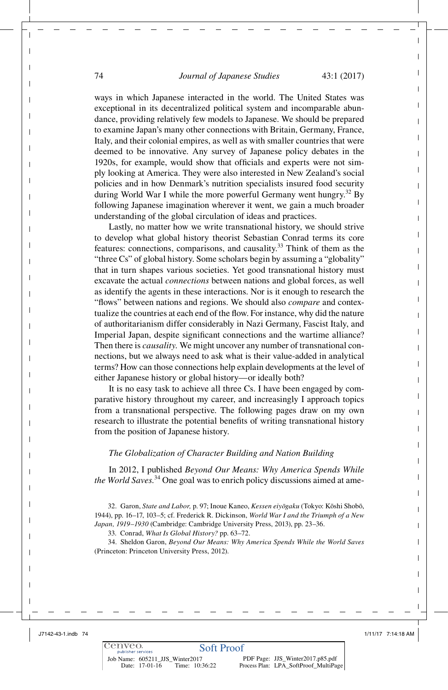ways in which Japanese interacted in the world. The United States was exceptional in its decentralized political system and incomparable abundance, providing relatively few models to Japanese. We should be prepared to examine Japan's many other connections with Britain, Germany, France, Italy, and their colonial empires, as well as with smaller countries that were deemed to be innovative. Any survey of Japanese policy debates in the 1920s, for example, would show that officials and experts were not simply looking at America. They were also interested in New Zealand's social policies and in how Denmark's nutrition specialists insured food security during World War I while the more powerful Germany went hungry.<sup>32</sup> By following Japanese imagination wherever it went, we gain a much broader understanding of the global circulation of ideas and practices.

Lastly, no matter how we write transnational history, we should strive to develop what global history theorist Sebastian Conrad terms its core features: connections, comparisons, and causality.33 Think of them as the "three Cs" of global history. Some scholars begin by assuming a "globality" that in turn shapes various societies. Yet good transnational history must excavate the actual *connections* between nations and global forces, as well as identify the agents in these interactions. Nor is it enough to research the "flows" between nations and regions. We should also *compare* and contextualize the countries at each end of the flow. For instance, why did the nature of authoritarianism differ considerably in Nazi Germany, Fascist Italy, and Imperial Japan, despite significant connections and the wartime alliance? Then there is *causality.* We might uncover any number of transnational connections, but we always need to ask what is their value-added in analytical terms? How can those connections help explain developments at the level of either Japanese history or global history—or ideally both?

It is no easy task to achieve all three Cs. I have been engaged by comparative history throughout my career, and increasingly I approach topics from a transnational perspective. The following pages draw on my own research to illustrate the potential benefits of writing transnational history from the position of Japanese history.

#### *The Globalization of Character Building and Nation Building*

In 2012, I published *Beyond Our Means: Why America Spends While the World Saves.*34 One goal was to enrich policy discussions aimed at ame-

32. Garon, *State and Labor*, p. 97; Inoue Kaneo, *Kessen eiyogaku* (Tokyo: Koshi Shobo, 1944), pp. 16–17, 103–5; cf. Frederick R. Dickinson, *World War I and the Triumph of a New Japan, 1919–1930* (Cambridge: Cambridge University Press, 2013), pp. 23–36.

33. Conrad, *What Is Global History?* pp. 63–72.

34. Sheldon Garon, *Beyond Our Means: Why America Spends While the World Saves* (Princeton: Princeton University Press, 2012).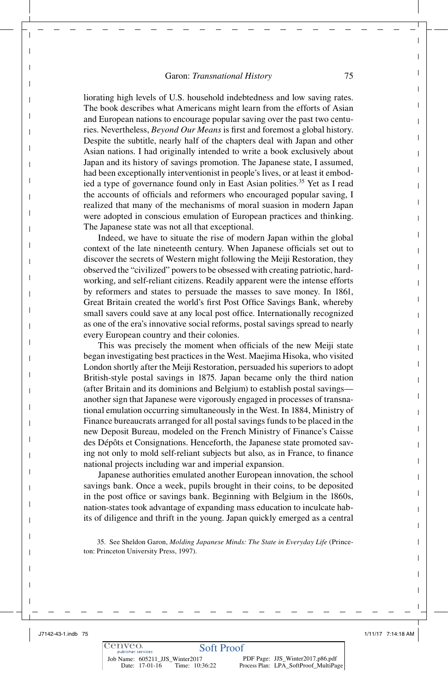liorating high levels of U.S. household indebtedness and low saving rates. The book describes what Americans might learn from the efforts of Asian and European nations to encourage popular saving over the past two centuries. Nevertheless, *Beyond Our Means* is first and foremost a global history. Despite the subtitle, nearly half of the chapters deal with Japan and other Asian nations. I had originally intended to write a book exclusively about Japan and its history of savings promotion. The Japanese state, I assumed, had been exceptionally interventionist in people's lives, or at least it embodied a type of governance found only in East Asian polities.<sup>35</sup> Yet as I read the accounts of officials and reformers who encouraged popular saving, I realized that many of the mechanisms of moral suasion in modern Japan were adopted in conscious emulation of European practices and thinking. The Japanese state was not all that exceptional.

Indeed, we have to situate the rise of modern Japan within the global context of the late nineteenth century. When Japanese officials set out to discover the secrets of Western might following the Meiji Restoration, they observed the "civilized" powers to be obsessed with creating patriotic, hardworking, and self-reliant citizens. Readily apparent were the intense efforts by reformers and states to persuade the masses to save money. In 1861, Great Britain created the world's first Post Office Savings Bank, whereby small savers could save at any local post office. Internationally recognized as one of the era's innovative social reforms, postal savings spread to nearly every European country and their colonies.

This was precisely the moment when officials of the new Meiji state began investigating best practices in the West. Maejima Hisoka, who visited London shortly after the Meiji Restoration, persuaded his superiors to adopt British-style postal savings in 1875. Japan became only the third nation (after Britain and its dominions and Belgium) to establish postal savings another sign that Japanese were vigorously engaged in processes of transnational emulation occurring simultaneously in the West. In 1884, Ministry of Finance bureaucrats arranged for all postal savings funds to be placed in the new Deposit Bureau, modeled on the French Ministry of Finance's Caisse des Dépôts et Consignations. Henceforth, the Japanese state promoted saving not only to mold self-reliant subjects but also, as in France, to finance national projects including war and imperial expansion.

Japanese authorities emulated another European innovation, the school savings bank. Once a week, pupils brought in their coins, to be deposited in the post office or savings bank. Beginning with Belgium in the 1860s, nation-states took advantage of expanding mass education to inculcate habits of diligence and thrift in the young. Japan quickly emerged as a central

<sup>35.</sup> See Sheldon Garon, *Molding Japanese Minds: The State in Everyday Life* (Princeton: Princeton University Press, 1997).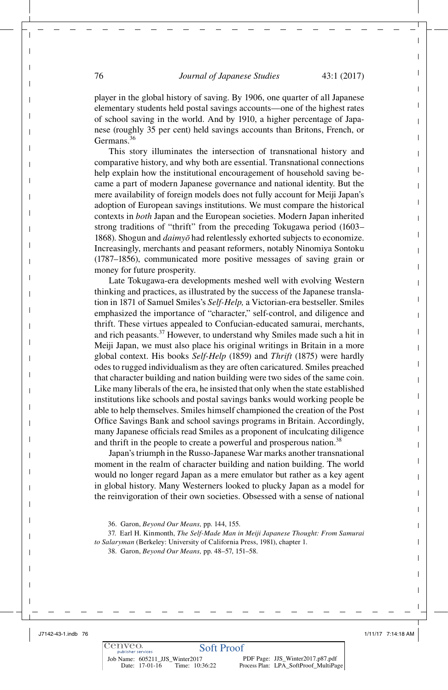player in the global history of saving. By 1906, one quarter of all Japanese elementary students held postal savings accounts—one of the highest rates of school saving in the world. And by 1910, a higher percentage of Japanese (roughly 35 per cent) held savings accounts than Britons, French, or Germans.36

This story illuminates the intersection of transnational history and comparative history, and why both are essential. Transnational connections help explain how the institutional encouragement of household saving became a part of modern Japanese governance and national identity. But the mere availability of foreign models does not fully account for Meiji Japan's adoption of European savings institutions. We must compare the historical contexts in *both* Japan and the European societies. Modern Japan inherited strong traditions of "thrift" from the preceding Tokugawa period (1603– 1868). Shogun and *daimyo* had relentlessly exhorted subjects to economize. Increasingly, merchants and peasant reformers, notably Ninomiya Sontoku (1787–1856), communicated more positive messages of saving grain or money for future prosperity.

Late Tokugawa-era developments meshed well with evolving Western thinking and practices, as illustrated by the success of the Japanese translation in 1871 of Samuel Smiles's *Self-Help,* a Victorian-era bestseller. Smiles emphasized the importance of "character," self-control, and diligence and thrift. These virtues appealed to Confucian-educated samurai, merchants, and rich peasants.37 However, to understand why Smiles made such a hit in Meiji Japan, we must also place his original writings in Britain in a more global context. His books *Self-Help* (1859) and *Thrift* (1875) were hardly odes to rugged individualism as they are often caricatured. Smiles preached that character building and nation building were two sides of the same coin. Like many liberals of the era, he insisted that only when the state established institutions like schools and postal savings banks would working people be able to help themselves. Smiles himself championed the creation of the Post Office Savings Bank and school savings programs in Britain. Accordingly, many Japanese officials read Smiles as a proponent of inculcating diligence and thrift in the people to create a powerful and prosperous nation.<sup>38</sup>

Japan's triumph in the Russo-Japanese War marks another transnational moment in the realm of character building and nation building. The world would no longer regard Japan as a mere emulator but rather as a key agent in global history. Many Westerners looked to plucky Japan as a model for the reinvigoration of their own societies. Obsessed with a sense of national

<sup>36.</sup> Garon, *Beyond Our Means,* pp. 144, 155.

<sup>37.</sup> Earl H. Kinmonth, *The Self-Made Man in Meiji Japanese Thought: From Samurai to Salaryman* (Berkeley: University of California Press, 1981), chapter 1.

<sup>38.</sup> Garon, *Beyond Our Means,* pp. 48–57, 151–58.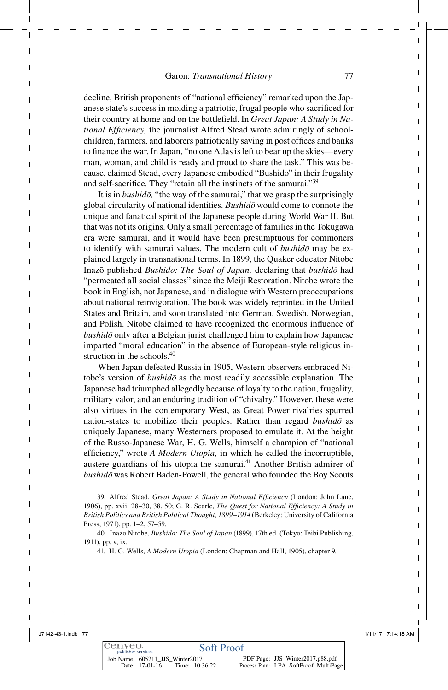decline, British proponents of "national efficiency" remarked upon the Japanese state's success in molding a patriotic, frugal people who sacrificed for their country at home and on the battlefield. In *Great Japan: A Study in National Efficiency*, the journalist Alfred Stead wrote admiringly of schoolchildren, farmers, and laborers patriotically saving in post offices and banks to finance the war. In Japan, "no one Atlas is left to bear up the skies—every man, woman, and child is ready and proud to share the task." This was because, claimed Stead, every Japanese embodied "Bushido" in their frugality and self-sacrifice. They "retain all the instincts of the samurai."<sup>39</sup>

It is in *bushido*, "the way of the samurai," that we grasp the surprisingly global circularity of national identities. *Bushido* would come to connote the unique and fanatical spirit of the Japanese people during World War II. But that was not its origins. Only a small percentage of families in the Tokugawa era were samurai, and it would have been presumptuous for commoners to identify with samurai values. The modern cult of *bushido* may be explained largely in transnational terms. In 1899, the Quaker educator Nitobe Inazō published *Bushido: The Soul of Japan*, declaring that *bushido* had "permeated all social classes" since the Meiji Restoration. Nitobe wrote the book in English, not Japanese, and in dialogue with Western preoccupations about national reinvigoration. The book was widely reprinted in the United States and Britain, and soon translated into German, Swedish, Norwegian, and Polish. Nitobe claimed to have recognized the enormous influence of *bushidō* only after a Belgian jurist challenged him to explain how Japanese imparted "moral education" in the absence of European-style religious instruction in the schools.<sup>40</sup>

When Japan defeated Russia in 1905, Western observers embraced Nitobe's version of *bushido* as the most readily accessible explanation. The Japanese had triumphed allegedly because of loyalty to the nation, frugality, military valor, and an enduring tradition of "chivalry." However, these were also virtues in the contemporary West, as Great Power rivalries spurred nation-states to mobilize their peoples. Rather than regard *bushido* as uniquely Japanese, many Westerners proposed to emulate it. At the height of the Russo-Japanese War, H. G. Wells, himself a champion of "national efficiency," wrote *A Modern Utopia*, in which he called the incorruptible, austere guardians of his utopia the samurai.<sup>41</sup> Another British admirer of *bushidō* was Robert Baden-Powell, the general who founded the Boy Scouts

39. Alfred Stead, *Great Japan: A Study in National Effi ciency* (London: John Lane, 1906), pp. xvii, 28-30, 38, 50; G. R. Searle, *The Quest for National Efficiency: A Study in British Politics and British Political Thought, 1899–1914* (Berkeley: University of California Press, 1971), pp. 1–2, 57–59.

40. Inazo Nitobe, *Bushido: The Soul of Japan* (1899), 17th ed. (Tokyo: Teibi Publishing, 1911), pp. v, ix.

41. H. G. Wells, *A Modern Utopia* (London: Chapman and Hall, 1905), chapter 9.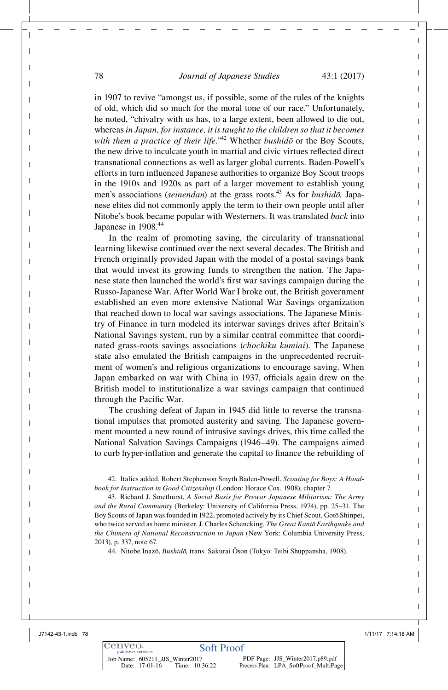in 1907 to revive "amongst us, if possible, some of the rules of the knights of old, which did so much for the moral tone of our race." Unfortunately, he noted, "chivalry with us has, to a large extent, been allowed to die out, whereas *in Japan, for instance, it is taught to the children so that it becomes*  with them a practice of their life.<sup>'42</sup> Whether *bushido* or the Boy Scouts, the new drive to inculcate youth in martial and civic virtues reflected direct transnational connections as well as larger global currents. Baden-Powell's efforts in turn influenced Japanese authorities to organize Boy Scout troops in the 1910s and 1920s as part of a larger movement to establish young men's associations (*seinendan*) at the grass roots.<sup>43</sup> As for *bushido*, Japanese elites did not commonly apply the term to their own people until after Nitobe's book became popular with Westerners. It was translated *back* into Japanese in 1908.<sup>44</sup>

In the realm of promoting saving, the circularity of transnational learning likewise continued over the next several decades. The British and French originally provided Japan with the model of a postal savings bank that would invest its growing funds to strengthen the nation. The Japanese state then launched the world's first war savings campaign during the Russo-Japanese War. After World War I broke out, the British government established an even more extensive National War Savings organization that reached down to local war savings associations. The Japanese Ministry of Finance in turn modeled its interwar savings drives after Britain's National Savings system, run by a similar central committee that coordinated grass-roots savings associations (*chochiku kumiai*). The Japanese state also emulated the British campaigns in the unprecedented recruitment of women's and religious organizations to encourage saving. When Japan embarked on war with China in 1937, officials again drew on the British model to institutionalize a war savings campaign that continued through the Pacific War.

The crushing defeat of Japan in 1945 did little to reverse the transnational impulses that promoted austerity and saving. The Japanese government mounted a new round of intrusive savings drives, this time called the National Salvation Savings Campaigns (1946–49). The campaigns aimed to curb hyper-inflation and generate the capital to finance the rebuilding of

42. Italics added. Robert Stephenson Smyth Baden-Powell, *Scouting for Boys: A Handbook for Instruction in Good Citizenship* (London: Horace Cox, 1908), chapter 7.

43. Richard J. Smethurst, *A Social Basis for Prewar Japanese Militarism: The Army and the Rural Community* (Berkeley: University of California Press, 1974), pp. 25–31. The Boy Scouts of Japan was founded in 1922, promoted actively by its Chief Scout, Gotō Shinpei, who twice served as home minister. J. Charles Schencking, *The Great Kantō Earthquake and the Chimera of National Reconstruction in Japan* (New York: Columbia University Press, 2013), p. 337, note 67.

44. Nitobe Inazō, *Bushidō*, trans. Sakurai Ōson (Tokyo: Teibi Shuppansha, 1908).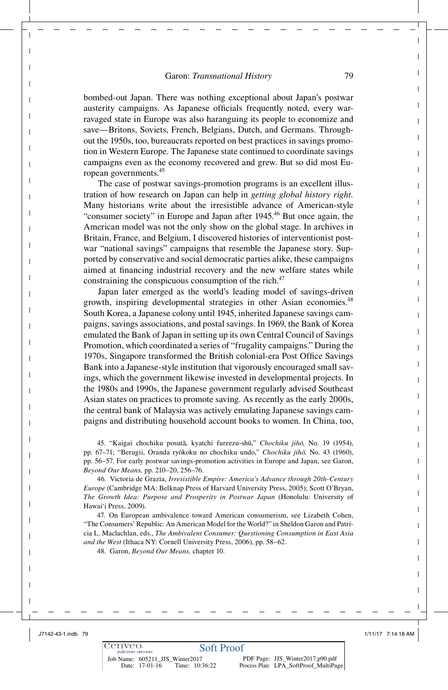bombed-out Japan. There was nothing exceptional about Japan's postwar austerity campaigns. As Japanese officials frequently noted, every warravaged state in Europe was also haranguing its people to economize and save—Britons, Soviets, French, Belgians, Dutch, and Germans. Throughout the 1950s, too, bureaucrats reported on best practices in savings promotion in Western Europe. The Japanese state continued to coordinate savings campaigns even as the economy recovered and grew. But so did most European governments.45

The case of postwar savings-promotion programs is an excellent illustration of how research on Japan can help in *getting global history right.* Many historians write about the irresistible advance of American-style "consumer society" in Europe and Japan after 1945.<sup>46</sup> But once again, the American model was not the only show on the global stage. In archives in Britain, France, and Belgium, I discovered histories of interventionist postwar "national savings" campaigns that resemble the Japanese story. Supported by conservative and social democratic parties alike, these campaigns aimed at financing industrial recovery and the new welfare states while constraining the conspicuous consumption of the rich.<sup>47</sup>

Japan later emerged as the world's leading model of savings-driven growth, inspiring developmental strategies in other Asian economies.<sup>48</sup> South Korea, a Japanese colony until 1945, inherited Japanese savings campaigns, savings associations, and postal savings. In 1969, the Bank of Korea emulated the Bank of Japan in setting up its own Central Council of Savings Promotion, which coordinated a series of "frugality campaigns." During the 1970s, Singapore transformed the British colonial-era Post Office Savings Bank into a Japanese-style institution that vigorously encouraged small savings, which the government likewise invested in developmental projects. In the 1980s and 1990s, the Japanese government regularly advised Southeast Asian states on practices to promote saving. As recently as the early 2000s, the central bank of Malaysia was actively emulating Japanese savings campaigns and distributing household account books to women. In China, too,

45. "Kaigai chochiku posutā, kyatchi fureezu-shū," *Chochiku jihō*, No. 19 (1954), pp. 67-71; "Berugii, Oranda ryōkoku no chochiku undo," *Chochiku jihō*, No. 43 (1960), pp. 56–57. For early postwar savings-promotion activities in Europe and Japan, see Garon, *Beyond Our Means,* pp. 210–20, 256–76.

46. Victoria de Grazia, *Irresistible Empire: America's Advance through 20th-Century Europe* (Cambridge MA: Belknap Press of Harvard University Press, 2005); Scott O'Bryan, *The Growth Idea: Purpose and Prosperity in Postwar Japan* (Honolulu: University of Hawai'i Press, 2009).

47. On European ambivalence toward American consumerism, see Lizabeth Cohen, "The Consumers' Republic: An American Model for the World?" in Sheldon Garon and Patricia L. Maclachlan, eds., *The Ambivalent Consumer: Questioning Consumption in East Asia and the West* (Ithaca NY: Cornell University Press, 2006), pp. 58–62.

48. Garon, *Beyond Our Means,* chapter 10.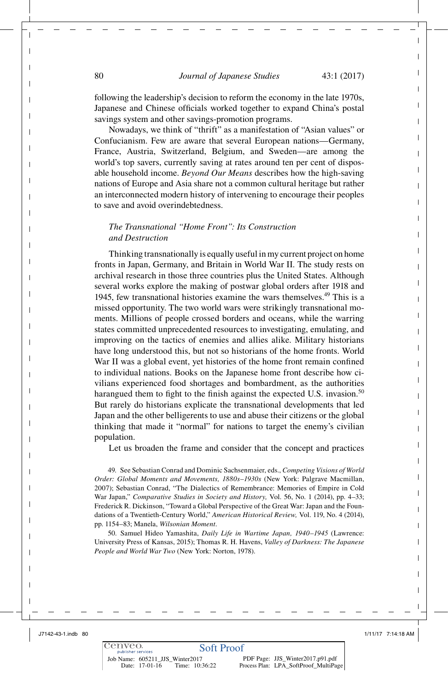following the leadership's decision to reform the economy in the late 1970s, Japanese and Chinese officials worked together to expand China's postal savings system and other savings-promotion programs.

Nowadays, we think of "thrift" as a manifestation of "Asian values" or Confucianism. Few are aware that several European nations—Germany, France, Austria, Switzerland, Belgium, and Sweden—are among the world's top savers, currently saving at rates around ten per cent of disposable household income. *Beyond Our Means* describes how the high-saving nations of Europe and Asia share not a common cultural heritage but rather an interconnected modern history of intervening to encourage their peoples to save and avoid overindebtedness.

#### *The Transnational "Home Front": Its Construction and Destruction*

Thinking transnationally is equally useful in my current project on home fronts in Japan, Germany, and Britain in World War II. The study rests on archival research in those three countries plus the United States. Although several works explore the making of postwar global orders after 1918 and 1945, few transnational histories examine the wars themselves.<sup>49</sup> This is a missed opportunity. The two world wars were strikingly transnational moments. Millions of people crossed borders and oceans, while the warring states committed unprecedented resources to investigating, emulating, and improving on the tactics of enemies and allies alike. Military historians have long understood this, but not so historians of the home fronts. World War II was a global event, yet histories of the home front remain confined to individual nations. Books on the Japanese home front describe how civilians experienced food shortages and bombardment, as the authorities harangued them to fight to the finish against the expected U.S. invasion.<sup>50</sup> But rarely do historians explicate the transnational developments that led Japan and the other belligerents to use and abuse their citizens or the global thinking that made it "normal" for nations to target the enemy's civilian population.

Let us broaden the frame and consider that the concept and practices

49. See Sebastian Conrad and Dominic Sachsenmaier, eds., *Competing Visions of World Order: Global Moments and Movements, 1880s–1930s* (New York: Palgrave Macmillan, 2007); Sebastian Conrad, "The Dialectics of Remembrance: Memories of Empire in Cold War Japan," *Comparative Studies in Society and History,* Vol. 56, No. 1 (2014), pp. 4–33; Frederick R. Dickinson, "Toward a Global Perspective of the Great War: Japan and the Foundations of a Twentieth-Century World," *American Historical Review,* Vol. 119, No. 4 (2014), pp. 1154–83; Manela, *Wilsonian Moment.*

50. Samuel Hideo Yamashita, *Daily Life in Wartime Japan, 1940–1945* (Lawrence: University Press of Kansas, 2015); Thomas R. H. Havens, *Valley of Darkness: The Japanese People and World War Two* (New York: Norton, 1978).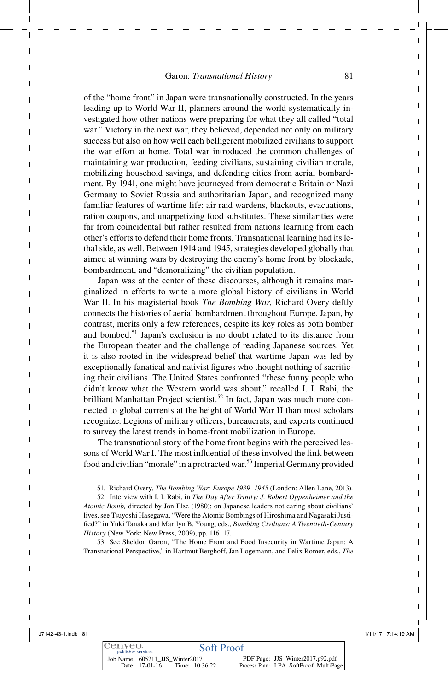of the "home front" in Japan were transnationally constructed. In the years leading up to World War II, planners around the world systematically investigated how other nations were preparing for what they all called "total war." Victory in the next war, they believed, depended not only on military success but also on how well each belligerent mobilized civilians to support the war effort at home. Total war introduced the common challenges of maintaining war production, feeding civilians, sustaining civilian morale, mobilizing household savings, and defending cities from aerial bombardment. By 1941, one might have journeyed from democratic Britain or Nazi Germany to Soviet Russia and authoritarian Japan, and recognized many familiar features of wartime life: air raid wardens, blackouts, evacuations, ration coupons, and unappetizing food substitutes. These similarities were far from coincidental but rather resulted from nations learning from each other's efforts to defend their home fronts. Transnational learning had its lethal side, as well. Between 1914 and 1945, strategies developed globally that aimed at winning wars by destroying the enemy's home front by blockade, bombardment, and "demoralizing" the civilian population.

Japan was at the center of these discourses, although it remains marginalized in efforts to write a more global history of civilians in World War II. In his magisterial book *The Bombing War,* Richard Overy deftly connects the histories of aerial bombardment throughout Europe. Japan, by contrast, merits only a few references, despite its key roles as both bomber and bombed.51 Japan's exclusion is no doubt related to its distance from the European theater and the challenge of reading Japanese sources. Yet it is also rooted in the widespread belief that wartime Japan was led by exceptionally fanatical and nativist figures who thought nothing of sacrificing their civilians. The United States confronted "these funny people who didn't know what the Western world was about," recalled I. I. Rabi, the brilliant Manhattan Project scientist.<sup>52</sup> In fact, Japan was much more connected to global currents at the height of World War II than most scholars recognize. Legions of military officers, bureaucrats, and experts continued to survey the latest trends in home-front mobilization in Europe.

The transnational story of the home front begins with the perceived lessons of World War I. The most influential of these involved the link between food and civilian "morale" in a protracted war.53 Imperial Germany provided

51. Richard Overy, *The Bombing War: Europe 1939–1945* (London: Allen Lane, 2013).

52. Interview with I. I. Rabi, in *The Day After Trinity: J. Robert Oppenheimer and the Atomic Bomb,* directed by Jon Else (1980); on Japanese leaders not caring about civilians' lives, see Tsuyoshi Hasegawa, "Were the Atomic Bombings of Hiroshima and Nagasaki Justified?" in Yuki Tanaka and Marilyn B. Young, eds., *Bombing Civilians: A Twentieth-Century History* (New York: New Press, 2009), pp. 116–17.

53. See Sheldon Garon, "The Home Front and Food Insecurity in Wartime Japan: A Transnational Perspective," in Hartmut Berghoff, Jan Logemann, and Felix Romer, eds., *The*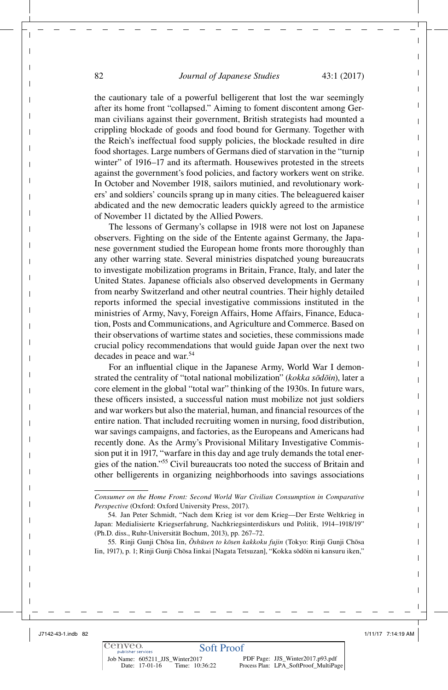the cautionary tale of a powerful belligerent that lost the war seemingly after its home front "collapsed." Aiming to foment discontent among German civilians against their government, British strategists had mounted a crippling blockade of goods and food bound for Germany. Together with the Reich's ineffectual food supply policies, the blockade resulted in dire food shortages. Large numbers of Germans died of starvation in the "turnip winter" of 1916–17 and its aftermath. Housewives protested in the streets against the government's food policies, and factory workers went on strike. In October and November 1918, sailors mutinied, and revolutionary workers' and soldiers' councils sprang up in many cities. The beleaguered kaiser abdicated and the new democratic leaders quickly agreed to the armistice of November 11 dictated by the Allied Powers.

The lessons of Germany's collapse in 1918 were not lost on Japanese observers. Fighting on the side of the Entente against Germany, the Japanese government studied the European home fronts more thoroughly than any other warring state. Several ministries dispatched young bureaucrats to investigate mobilization programs in Britain, France, Italy, and later the United States. Japanese officials also observed developments in Germany from nearby Switzerland and other neutral countries. Their highly detailed reports informed the special investigative commissions instituted in the ministries of Army, Navy, Foreign Affairs, Home Affairs, Finance, Education, Posts and Communications, and Agriculture and Commerce. Based on their observations of wartime states and societies, these commissions made crucial policy recommendations that would guide Japan over the next two decades in peace and war.<sup>54</sup>

For an influential clique in the Japanese Army, World War I demonstrated the centrality of "total national mobilization" (kokka sōdōin), later a core element in the global "total war" thinking of the 1930s. In future wars, these officers insisted, a successful nation must mobilize not just soldiers and war workers but also the material, human, and financial resources of the entire nation. That included recruiting women in nursing, food distribution, war savings campaigns, and factories, as the Europeans and Americans had recently done. As the Army's Provisional Military Investigative Commission put it in 1917, "warfare in this day and age truly demands the total energies of the nation."55 Civil bureaucrats too noted the success of Britain and other belligerents in organizing neighborhoods into savings associations

*Consumer on the Home Front: Second World War Civilian Consumption in Comparative Perspective* (Oxford: Oxford University Press, 2017).

<sup>54.</sup> Jan Peter Schmidt, "Nach dem Krieg ist vor dem Krieg—Der Erste Weltkrieg in Japan: Medialisierte Kriegserfahrung, Nachkriegsinterdiskurs und Politik, 1914–1918/19" (Ph.D. diss., Ruhr-Universität Bochum, 2013), pp. 267–72.

<sup>55.</sup> Rinji Gunji Chōsa Iin, *Ōshūsen to kōsen kakkoku fujin* (Tokyo: Rinji Gunji Chōsa Iin, 1917), p. 1; Rinji Gunji Chōsa Iinkai [Nagata Tetsuzan], "Kokka sōdōin ni kansuru iken,"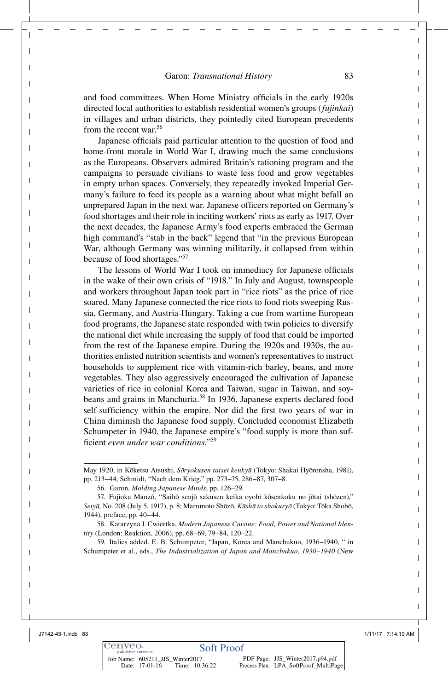and food committees. When Home Ministry officials in the early 1920s directed local authorities to establish residential women's groups (*fujinkai*) in villages and urban districts, they pointedly cited European precedents from the recent war.<sup>56</sup>

Japanese officials paid particular attention to the question of food and home-front morale in World War I, drawing much the same conclusions as the Europeans. Observers admired Britain's rationing program and the campaigns to persuade civilians to waste less food and grow vegetables in empty urban spaces. Conversely, they repeatedly invoked Imperial Germany's failure to feed its people as a warning about what might befall an unprepared Japan in the next war. Japanese officers reported on Germany's food shortages and their role in inciting workers' riots as early as 1917. Over the next decades, the Japanese Army's food experts embraced the German high command's "stab in the back" legend that "in the previous European War, although Germany was winning militarily, it collapsed from within because of food shortages."57

The lessons of World War I took on immediacy for Japanese officials in the wake of their own crisis of "1918." In July and August, townspeople and workers throughout Japan took part in "rice riots" as the price of rice soared. Many Japanese connected the rice riots to food riots sweeping Russia, Germany, and Austria-Hungary. Taking a cue from wartime European food programs, the Japanese state responded with twin policies to diversify the national diet while increasing the supply of food that could be imported from the rest of the Japanese empire. During the 1920s and 1930s, the authorities enlisted nutrition scientists and women's representatives to instruct households to supplement rice with vitamin-rich barley, beans, and more vegetables. They also aggressively encouraged the cultivation of Japanese varieties of rice in colonial Korea and Taiwan, sugar in Taiwan, and soybeans and grains in Manchuria.<sup>58</sup> In 1936, Japanese experts declared food self-sufficiency within the empire. Nor did the first two years of war in China diminish the Japanese food supply. Concluded economist Elizabeth Schumpeter in 1940, the Japanese empire's "food supply is more than sufficient *even under war conditions.*"<sup>59</sup>

May 1920, in Kōketsu Atsushi, *Sōryokusen taisei kenkyū* (Tokyo: Shakai Hyōronsha, 1981), pp. 213–44; Schmidt, "Nach dem Krieg," pp. 273–75, 286–87, 307–8.

<sup>56.</sup> Garon, *Molding Japanese Minds*, pp. 126–29.

<sup>57.</sup> Fujioka Manzō, "Saihō senjō sakusen keika oyobi kōsenkoku no jōtai (shōzen)," Seiyū, No. 208 (July 5, 1917), p. 8; Marumoto Shōzō, *Kūshū to shokuryō* (Tokyo: Tōka Shobō, 1944), preface, pp. 40–44.

<sup>58.</sup> Katarzyna J. Cwiertka, *Modern Japanese Cuisine: Food, Power and National Identity* (London: Reaktion, 2006), pp. 68–69, 79–84, 120–22.

<sup>59.</sup> Italics added. E. B. Schumpeter, "Japan, Korea and Manchukuo, 1936–1940, " in Schumpeter et al., eds., *The Industrialization of Japan and Manchukuo, 1930–1940* (New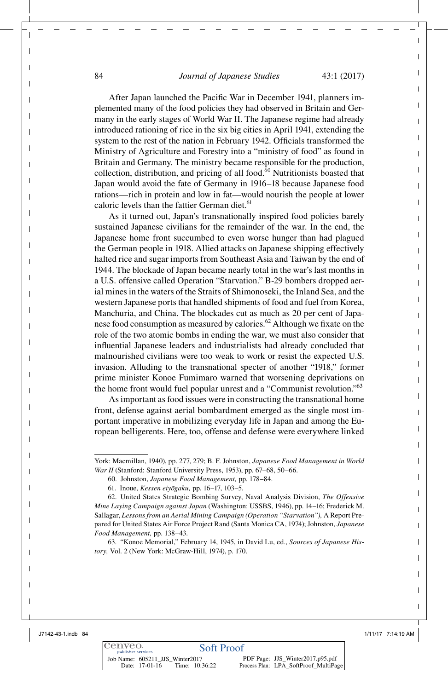After Japan launched the Pacific War in December 1941, planners implemented many of the food policies they had observed in Britain and Germany in the early stages of World War II. The Japanese regime had already introduced rationing of rice in the six big cities in April 1941, extending the system to the rest of the nation in February 1942. Officials transformed the Ministry of Agriculture and Forestry into a "ministry of food" as found in Britain and Germany. The ministry became responsible for the production, collection, distribution, and pricing of all food. $60$  Nutritionists boasted that Japan would avoid the fate of Germany in 1916–18 because Japanese food rations—rich in protein and low in fat—would nourish the people at lower caloric levels than the fattier German diet.<sup>61</sup>

As it turned out, Japan's transnationally inspired food policies barely sustained Japanese civilians for the remainder of the war. In the end, the Japanese home front succumbed to even worse hunger than had plagued the German people in 1918. Allied attacks on Japanese shipping effectively halted rice and sugar imports from Southeast Asia and Taiwan by the end of 1944. The blockade of Japan became nearly total in the war's last months in a U.S. offensive called Operation "Starvation." B-29 bombers dropped aerial mines in the waters of the Straits of Shimonoseki, the Inland Sea, and the western Japanese ports that handled shipments of food and fuel from Korea, Manchuria, and China. The blockades cut as much as 20 per cent of Japanese food consumption as measured by calories.<sup>62</sup> Although we fixate on the role of the two atomic bombs in ending the war, we must also consider that influential Japanese leaders and industrialists had already concluded that malnourished civilians were too weak to work or resist the expected U.S. invasion. Alluding to the transnational specter of another "1918," former prime minister Konoe Fumimaro warned that worsening deprivations on the home front would fuel popular unrest and a "Communist revolution."63

As important as food issues were in constructing the transnational home front, defense against aerial bombardment emerged as the single most important imperative in mobilizing everyday life in Japan and among the European belligerents. Here, too, offense and defense were everywhere linked

York: Macmillan, 1940), pp. 277, 279; B. F. Johnston, *Japanese Food Management in World War II* (Stanford: Stanford University Press, 1953), pp. 67–68, 50–66.

<sup>60.</sup> Johnston, *Japanese Food Management,* pp. 178–84.

<sup>61.</sup> Inoue, *Kessen eiyōgaku*, pp. 16–17, 103–5.

<sup>62.</sup> United States Strategic Bombing Survey, Naval Analysis Division, *The Offensive Mine Laying Campaign against Japan* (Washington: USSBS, 1946), pp. 14–16; Frederick M. Sallagar, *Lessons from an Aerial Mining Campaign (Operation "Starvation"),* A Report Prepared for United States Air Force Project Rand (Santa Monica CA, 1974); Johnston, *Japanese Food Management,* pp. 138–43.

<sup>63. &</sup>quot;Konoe Memorial," February 14, 1945, in David Lu, ed., *Sources of Japanese History,* Vol. 2 (New York: McGraw-Hill, 1974), p. 170.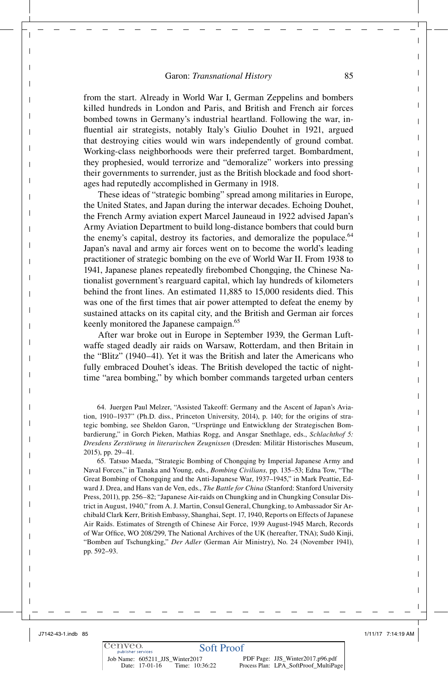from the start. Already in World War I, German Zeppelins and bombers killed hundreds in London and Paris, and British and French air forces bombed towns in Germany's industrial heartland. Following the war, influential air strategists, notably Italy's Giulio Douhet in 1921, argued that destroying cities would win wars independently of ground combat. Working- class neighborhoods were their preferred target. Bombardment, they prophesied, would terrorize and "demoralize" workers into pressing their governments to surrender, just as the British blockade and food shortages had reputedly accomplished in Germany in 1918.

These ideas of "strategic bombing" spread among militaries in Europe, the United States, and Japan during the interwar decades. Echoing Douhet, the French Army aviation expert Marcel Jauneaud in 1922 advised Japan's Army Aviation Department to build long-distance bombers that could burn the enemy's capital, destroy its factories, and demoralize the populace.<sup>64</sup> Japan's naval and army air forces went on to become the world's leading practitioner of strategic bombing on the eve of World War II. From 1938 to 1941, Japanese planes repeatedly fi rebombed Chongqing, the Chinese Nationalist government's rearguard capital, which lay hundreds of kilometers behind the front lines. An estimated 11,885 to 15,000 residents died. This was one of the first times that air power attempted to defeat the enemy by sustained attacks on its capital city, and the British and German air forces keenly monitored the Japanese campaign.<sup>65</sup>

After war broke out in Europe in September 1939, the German Luftwaffe staged deadly air raids on Warsaw, Rotterdam, and then Britain in the "Blitz" (1940–41). Yet it was the British and later the Americans who fully embraced Douhet's ideas. The British developed the tactic of nighttime "area bombing," by which bomber commands targeted urban centers

64. Juergen Paul Melzer, "Assisted Takeoff: Germany and the Ascent of Japan's Aviation, 1910–1937" (Ph.D. diss., Princeton University, 2014), p. 140; for the origins of strategic bombing, see Sheldon Garon, "Ursprünge und Entwicklung der Strategischen Bombardierung," in Gorch Pieken, Mathias Rogg, and Ansgar Snethlage, eds., *Schlachthof 5: Dresdens Zerstörung in literarischen Zeugnissen* (Dresden: Militär Historisches Museum, 2015), pp. 29–41.

65. Tatsuo Maeda, "Strategic Bombing of Chongqing by Imperial Japanese Army and Naval Forces," in Tanaka and Young, eds., *Bombing Civilians,* pp. 135–53; Edna Tow, "The Great Bombing of Chongqing and the Anti-Japanese War, 1937–1945," in Mark Peattie, Edward J. Drea, and Hans van de Ven, eds., *The Battle for China* (Stanford: Stanford University Press, 2011), pp. 256–82; "Japanese Air-raids on Chungking and in Chungking Consular District in August, 1940," from A. J. Martin, Consul General, Chungking, to Ambassador Sir Archibald Clark Kerr, British Embassy, Shanghai, Sept. 17, 1940, Reports on Effects of Japanese Air Raids. Estimates of Strength of Chinese Air Force, 1939 August-1945 March, Records of War Office, WO 208/299, The National Archives of the UK (hereafter, TNA); Sudō Kinji, "Bomben auf Tschungking," *Der Adler* (German Air Ministry), No. 24 ( November 1941), pp. 592–93.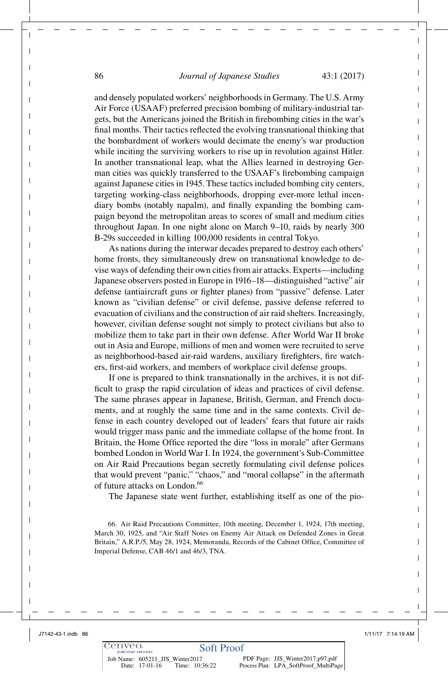and densely populated workers' neighborhoods in Germany. The U.S. Army Air Force (USAAF) preferred precision bombing of military-industrial targets, but the Americans joined the British in firebombing cities in the war's final months. Their tactics reflected the evolving transnational thinking that the bombardment of workers would decimate the enemy's war production while inciting the surviving workers to rise up in revolution against Hitler. In another transnational leap, what the Allies learned in destroying German cities was quickly transferred to the USAAF's firebombing campaign against Japanese cities in 1945. These tactics included bombing city centers, targeting working-class neighborhoods, dropping ever-more lethal incendiary bombs (notably napalm), and finally expanding the bombing campaign beyond the metropolitan areas to scores of small and medium cities throughout Japan. In one night alone on March 9–10, raids by nearly 300 B-29s succeeded in killing 100,000 residents in central Tokyo.

As nations during the interwar decades prepared to destroy each others' home fronts, they simultaneously drew on transnational knowledge to devise ways of defending their own cities from air attacks. Experts—including Japanese observers posted in Europe in 1916–18—distinguished "active" air defense (antiaircraft guns or fighter planes) from "passive" defense. Later known as "civilian defense" or civil defense, passive defense referred to evacuation of civilians and the construction of air raid shelters. Increasingly, however, civilian defense sought not simply to protect civilians but also to mobilize them to take part in their own defense. After World War II broke out in Asia and Europe, millions of men and women were recruited to serve as neighborhood-based air-raid wardens, auxiliary firefighters, fire watchers, first-aid workers, and members of workplace civil defense groups.

If one is prepared to think transnationally in the archives, it is not difficult to grasp the rapid circulation of ideas and practices of civil defense. The same phrases appear in Japanese, British, German, and French documents, and at roughly the same time and in the same contexts. Civil defense in each country developed out of leaders' fears that future air raids would trigger mass panic and the immediate collapse of the home front. In Britain, the Home Office reported the dire "loss in morale" after Germans bombed London in World War I. In 1924, the government's Sub-Committee on Air Raid Precautions began secretly formulating civil defense polices that would prevent "panic," "chaos," and "moral collapse" in the aftermath of future attacks on London.<sup>66</sup>

The Japanese state went further, establishing itself as one of the pio-

66. Air Raid Precautions Committee, 10th meeting, December 1, 1924, 17th meeting, March 30, 1925, and "Air Staff Notes on Enemy Air Attack on Defended Zones in Great Britain," A.R.P./5, May 28, 1924, Memoranda, Records of the Cabinet Office, Committee of Imperial Defense, CAB 46/1 and 46/3, TNA.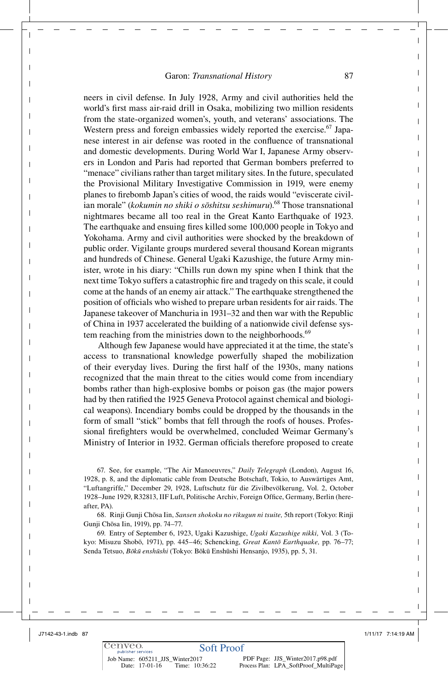neers in civil defense. In July 1928, Army and civil authorities held the world's first mass air-raid drill in Osaka, mobilizing two million residents from the state-organized women's, youth, and veterans' associations. The Western press and foreign embassies widely reported the exercise.<sup>67</sup> Japanese interest in air defense was rooted in the confluence of transnational and domestic developments. During World War I, Japanese Army observers in London and Paris had reported that German bombers preferred to "menace" civilians rather than target military sites. In the future, speculated the Provisional Military Investigative Commission in 1919, were enemy planes to firebomb Japan's cities of wood, the raids would "eviscerate civilian morale" (*kokumin no shiki o sōshitsu seshimuru*).<sup>68</sup> Those transnational nightmares became all too real in the Great Kanto Earthquake of 1923. The earthquake and ensuing fires killed some 100,000 people in Tokyo and Yokohama. Army and civil authorities were shocked by the breakdown of public order. Vigilante groups murdered several thousand Korean migrants and hundreds of Chinese. General Ugaki Kazushige, the future Army minister, wrote in his diary: "Chills run down my spine when I think that the next time Tokyo suffers a catastrophic fire and tragedy on this scale, it could come at the hands of an enemy air attack." The earthquake strengthened the position of officials who wished to prepare urban residents for air raids. The Japanese takeover of Manchuria in 1931–32 and then war with the Republic of China in 1937 accelerated the building of a nationwide civil defense system reaching from the ministries down to the neighborhoods.<sup>69</sup>

Although few Japanese would have appreciated it at the time, the state's access to transnational knowledge powerfully shaped the mobilization of their everyday lives. During the first half of the 1930s, many nations recognized that the main threat to the cities would come from incendiary bombs rather than high-explosive bombs or poison gas (the major powers had by then ratified the 1925 Geneva Protocol against chemical and biological weapons). Incendiary bombs could be dropped by the thousands in the form of small "stick" bombs that fell through the roofs of houses. Professional firefighters would be overwhelmed, concluded Weimar Germany's Ministry of Interior in 1932. German officials therefore proposed to create

67. See, for example, "The Air Manoeuvres," *Daily Telegraph* (London), August 16, 1928, p. 8, and the diplomatic cable from Deutsche Botschaft, Tokio, to Auswärtiges Amt, "Luftangriffe," December 29, 1928, Luftschutz für die Zivilbevölkerung, Vol. 2, October 1928–June 1929, R32813, IIF Luft, Politische Archiv, Foreign Office, Germany, Berlin (hereafter, PA).

68. Rinji Gunji Chōsa Iin, *Sansen shokoku no rikugun ni tsuite*, 5th report (Tokyo: Rinji Gunji Chōsa Iin, 1919), pp. 74–77.

69. Entry of September 6, 1923, Ugaki Kazushige, *Ugaki Kazushige nikki,* Vol. 3 (Tokyo: Misuzu Shobō, 1971), pp. 445–46; Schencking, *Great Kantō Earthquake*, pp. 76–77; Senda Tetsuo, *Bōkū enshūshi* (Tokyo: Bōkū Enshūshi Hensanjo, 1935), pp. 5, 31.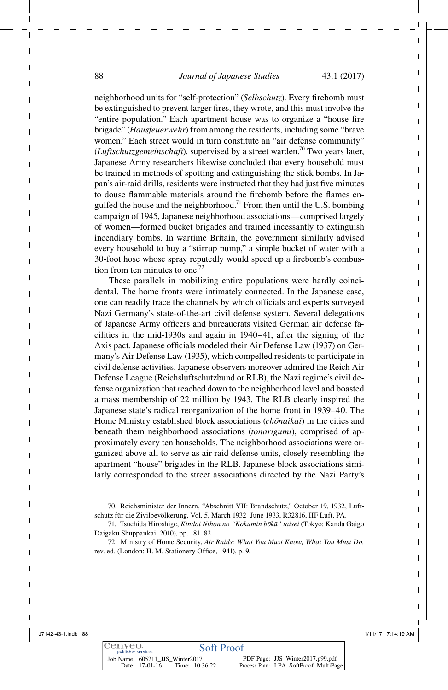neighborhood units for "self-protection" (*Selbschutz*). Every firebomb must be extinguished to prevent larger fires, they wrote, and this must involve the "entire population." Each apartment house was to organize a "house fire" brigade" (*Hausfeuerwehr*) from among the residents, including some "brave women." Each street would in turn constitute an "air defense community" (*Luftschutzgemeinschaft*), supervised by a street warden.70 Two years later, Japanese Army researchers likewise concluded that every household must be trained in methods of spotting and extinguishing the stick bombs. In Japan's air-raid drills, residents were instructed that they had just five minutes to douse flammable materials around the firebomb before the flames engulfed the house and the neighborhood.<sup>71</sup> From then until the U.S. bombing campaign of 1945, Japanese neighborhood associations—comprised largely of women—formed bucket brigades and trained incessantly to extinguish incendiary bombs. In wartime Britain, the government similarly advised every household to buy a "stirrup pump," a simple bucket of water with a 30-foot hose whose spray reputedly would speed up a firebomb's combustion from ten minutes to one.72

These parallels in mobilizing entire populations were hardly coincidental. The home fronts were intimately connected. In the Japanese case, one can readily trace the channels by which officials and experts surveyed Nazi Germany's state-of-the-art civil defense system. Several delegations of Japanese Army officers and bureaucrats visited German air defense facilities in the mid-1930s and again in 1940–41, after the signing of the Axis pact. Japanese officials modeled their Air Defense Law (1937) on Germany's Air Defense Law (1935), which compelled residents to participate in civil defense activities. Japanese observers moreover admired the Reich Air Defense League (Reichsluftschutzbund or RLB), the Nazi regime's civil defense organization that reached down to the neighborhood level and boasted a mass membership of 22 million by 1943. The RLB clearly inspired the Japanese state's radical reorganization of the home front in 1939–40. The Home Ministry established block associations (*chōnaikai*) in the cities and beneath them neighborhood associations (*tonarigumi*), comprised of approximately every ten households. The neighborhood associations were organized above all to serve as air-raid defense units, closely resembling the apartment "house" brigades in the RLB. Japanese block associations similarly corresponded to the street associations directed by the Nazi Party's

<sup>70.</sup> Reichsminister der Innern, "Abschnitt VII: Brandschutz," October 19, 1932, Luftschutz für die Zivilbevölkerung, Vol. 5, March 1932–June 1933, R32816, IIF Luft, PA.

<sup>71.</sup> Tsuchida Hiroshige, *Kindai Nihon no "Kokumin bōkū" taisei* (Tokyo: Kanda Gaigo Daigaku Shuppankai, 2010), pp. 181–82.

<sup>72.</sup> Ministry of Home Security, *Air Raids: What You Must Know, What You Must Do,* rev. ed. (London: H. M. Stationery Office, 1941), p. 9.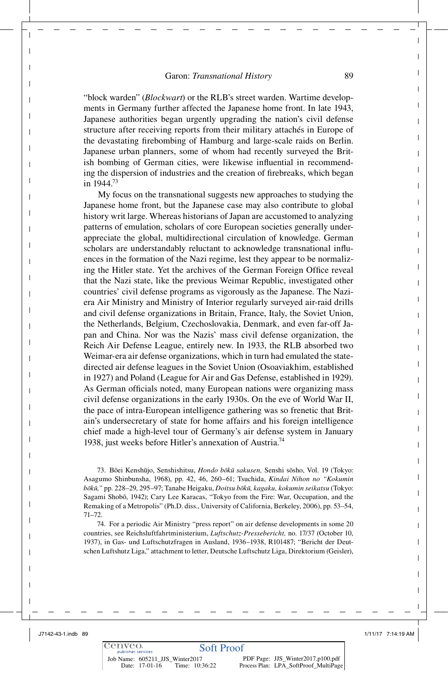"block warden" (*Blockwart*) or the RLB's street warden. Wartime developments in Germany further affected the Japanese home front. In late 1943, Japanese authorities began urgently upgrading the nation's civil defense structure after receiving reports from their military attachés in Europe of the devastating firebombing of Hamburg and large-scale raids on Berlin. Japanese urban planners, some of whom had recently surveyed the British bombing of German cities, were likewise influential in recommending the dispersion of industries and the creation of firebreaks, which began in 1944.73

My focus on the transnational suggests new approaches to studying the Japanese home front, but the Japanese case may also contribute to global history writ large. Whereas historians of Japan are accustomed to analyzing patterns of emulation, scholars of core European societies generally underappreciate the global, multidirectional circulation of knowledge. German scholars are understandably reluctant to acknowledge transnational influences in the formation of the Nazi regime, lest they appear to be normalizing the Hitler state. Yet the archives of the German Foreign Office reveal that the Nazi state, like the previous Weimar Republic, investigated other countries' civil defense programs as vigorously as the Japanese. The Naziera Air Ministry and Ministry of Interior regularly surveyed air-raid drills and civil defense organizations in Britain, France, Italy, the Soviet Union, the Netherlands, Belgium, Czechoslovakia, Denmark, and even far-off Japan and China. Nor was the Nazis' mass civil defense organization, the Reich Air Defense League, entirely new. In 1933, the RLB absorbed two Weimar-era air defense organizations, which in turn had emulated the statedirected air defense leagues in the Soviet Union (Osoaviakhim, established in 1927) and Poland (League for Air and Gas Defense, established in 1929). As German officials noted, many European nations were organizing mass civil defense organizations in the early 1930s. On the eve of World War II, the pace of intra-European intelligence gathering was so frenetic that Britain's undersecretary of state for home affairs and his foreign intelligence chief made a high-level tour of Germany's air defense system in January 1938, just weeks before Hitler's annexation of Austria.74

73. Bōei Kenshūjo, Senshishitsu, *Hondo bōkū sakusen*, Senshi sōsho, Vol. 19 (Tokyo: Asagumo Shinbunsha, 1968), pp. 42, 46, 260–61; Tsuchida, *Kindai Nihon no "Kokumin bo¯ku¯,"* pp. 228–29, 295–97; Tanabe Heigaku, *Doitsu bo¯ku¯, kagaku, kokumin seikatsu* (Tokyo: Sagami Shobō, 1942); Cary Lee Karacas, "Tokyo from the Fire: War, Occupation, and the Remaking of a Metropolis" (Ph.D. diss., University of California, Berkeley, 2006), pp. 53–54, 71–72.

74. For a periodic Air Ministry "press report" on air defense developments in some 20 countries, see Reichsluftfahrtministerium, *Luftschutz-Pressebericht,* no. 17/37 (October 10, 1937), in Gas- und Luftschutzfragen in Ausland, 1936–1938, R101487; "Bericht der Deutschen Luftshutz Liga," attachment to letter, Deutsche Luftschutz Liga, Direktorium (Geisler),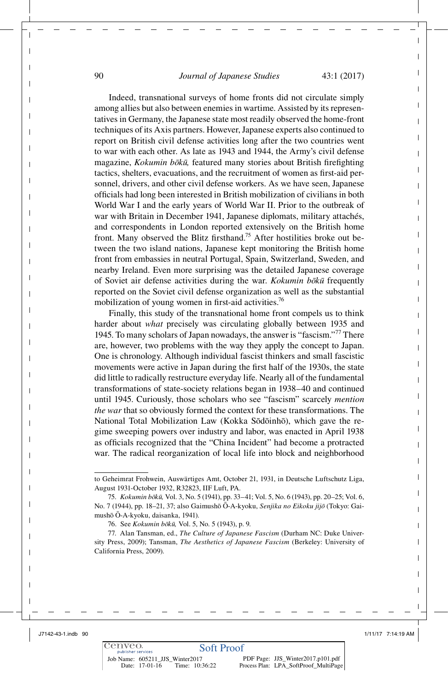Indeed, transnational surveys of home fronts did not circulate simply among allies but also between enemies in wartime. Assisted by its representatives in Germany, the Japanese state most readily observed the home-front techniques of its Axis partners. However, Japanese experts also continued to report on British civil defense activities long after the two countries went to war with each other. As late as 1943 and 1944, the Army's civil defense magazine, *Kokumin bōkū*, featured many stories about British firefighting tactics, shelters, evacuations, and the recruitment of women as first-aid personnel, drivers, and other civil defense workers. As we have seen, Japanese officials had long been interested in British mobilization of civilians in both World War I and the early years of World War II. Prior to the outbreak of war with Britain in December 1941, Japanese diplomats, military attachés, and correspondents in London reported extensively on the British home front. Many observed the Blitz firsthand.<sup>75</sup> After hostilities broke out between the two island nations, Japanese kept monitoring the British home front from embassies in neutral Portugal, Spain, Switzerland, Sweden, and nearby Ireland. Even more surprising was the detailed Japanese coverage of Soviet air defense activities during the war. *Kokumin bokū* frequently reported on the Soviet civil defense organization as well as the substantial mobilization of young women in first-aid activities.<sup>76</sup>

Finally, this study of the transnational home front compels us to think harder about *what* precisely was circulating globally between 1935 and 1945. To many scholars of Japan nowadays, the answer is "fascism."77 There are, however, two problems with the way they apply the concept to Japan. One is chronology. Although individual fascist thinkers and small fascistic movements were active in Japan during the first half of the 1930s, the state did little to radically restructure everyday life. Nearly all of the fundamental transformations of state-society relations began in 1938–40 and continued until 1945. Curiously, those scholars who see "fascism" scarcely *mention the war* that so obviously formed the context for these transformations. The National Total Mobilization Law (Kokka Sōdōinhō), which gave the regime sweeping powers over industry and labor, was enacted in April 1938 as officials recognized that the "China Incident" had become a protracted war. The radical reorganization of local life into block and neighborhood

to Geheimrat Frohwein, Auswärtiges Amt, October 21, 1931, in Deutsche Luftschutz Liga, August 1931-October 1932, R32823, IIF Luft, PA.

<sup>75.</sup> *Kokumin bōkū*, Vol. 3, No. 5 (1941), pp. 33-41; Vol. 5, No. 6 (1943), pp. 20-25; Vol. 6, No. 7 (1944), pp. 18–21, 37; also Gaimushō Ō-A-kyoku, *Senjika no Eikoku jijō* (Tokyo: Gaimushō Ō-A-kyoku, daisanka, 1941).

<sup>76.</sup> See *Kokumin bōkū*, Vol. 5, No. 5 (1943), p. 9.

<sup>77.</sup> Alan Tansman, ed., *The Culture of Japanese Fascism* (Durham NC: Duke University Press, 2009); Tansman, *The Aesthetics of Japanese Fascism* (Berkeley: University of California Press, 2009).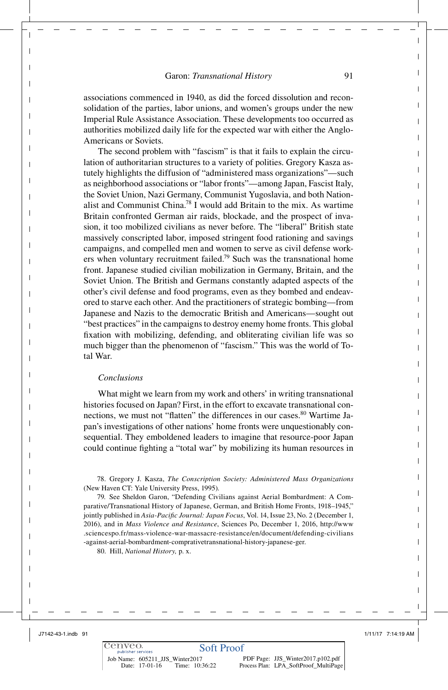associations commenced in 1940, as did the forced dissolution and reconsolidation of the parties, labor unions, and women's groups under the new Imperial Rule Assistance Association. These developments too occurred as authorities mobilized daily life for the expected war with either the Anglo-Americans or Soviets.

The second problem with "fascism" is that it fails to explain the circulation of authoritarian structures to a variety of polities. Gregory Kasza astutely highlights the diffusion of "administered mass organizations"—such as neighborhood associations or "labor fronts"—among Japan, Fascist Italy, the Soviet Union, Nazi Germany, Communist Yugoslavia, and both Nationalist and Communist China.78 I would add Britain to the mix. As wartime Britain confronted German air raids, blockade, and the prospect of invasion, it too mobilized civilians as never before. The "liberal" British state massively conscripted labor, imposed stringent food rationing and savings campaigns, and compelled men and women to serve as civil defense workers when voluntary recruitment failed.79 Such was the transnational home front. Japanese studied civilian mobilization in Germany, Britain, and the Soviet Union. The British and Germans constantly adapted aspects of the other's civil defense and food programs, even as they bombed and endeavored to starve each other. And the practitioners of strategic bombing—from Japanese and Nazis to the democratic British and Americans—sought out "best practices" in the campaigns to destroy enemy home fronts. This global fixation with mobilizing, defending, and obliterating civilian life was so much bigger than the phenomenon of "fascism." This was the world of Total War.

#### *Conclusions*

What might we learn from my work and others' in writing transnational histories focused on Japan? First, in the effort to excavate transnational connections, we must not "flatten" the differences in our cases.<sup>80</sup> Wartime Japan's investigations of other nations' home fronts were unquestionably consequential. They emboldened leaders to imagine that resource-poor Japan could continue fighting a "total war" by mobilizing its human resources in

78. Gregory J. Kasza, *The Conscription Society: Administered Mass Organizations* (New Haven CT: Yale University Press, 1995).

79. See Sheldon Garon, "Defending Civilians against Aerial Bombardment: A Comparative/ Transnational History of Japanese, German, and British Home Fronts, 1918–1945," jointly published in *Asia-Pacific Journal: Japan Focus*, Vol. 14, Issue 23, No. 2 (December 1, 2016), and in *Mass Violence and Resistance*, Sciences Po, December 1, 2016, http://www .sciencespo.fr/mass-violence-war-massacre-resistance/en/document/defending-civilians -against-aerial-bombardment-comprativetransnational-history-japanese-ger.

80. Hill, *National History,* p. x.